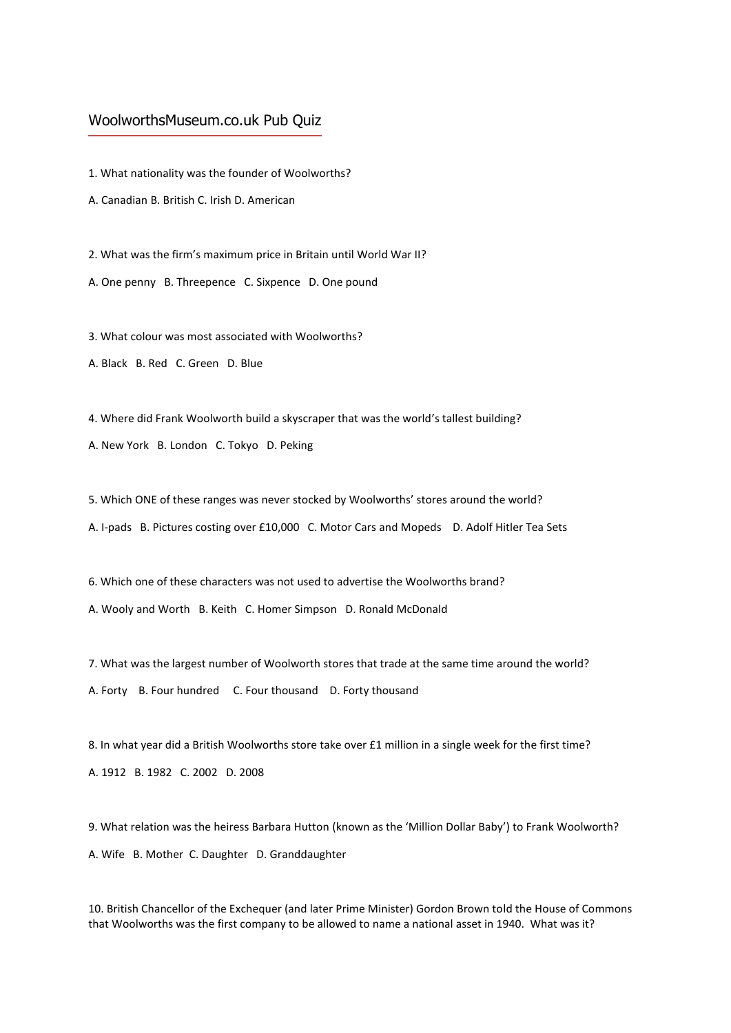## WoolworthsMuseum.co.uk Pub Quiz

1. What nationality was the founder of Woolworths?

A. Canadian B. British C. Irish D. American

2. What was the firm's maximum price in Britain until World War II?

A. One penny B. Threepence C. Sixpence D. One pound

3. What colour was most associated with Woolworths?

A. Black B. Red C. Green D. Blue

4. Where did Frank Woolworth build a skyscraper that was the world's tallest building?

A. New York B. London C. Tokyo D. Peking

5. Which ONE of these ranges was never stocked by Woolworths' stores around the world?

A. I-pads B. Pictures costing over £10,000 C. Motor Cars and Mopeds D. Adolf Hitler Tea Sets

6. Which one of these characters was not used to advertise the Woolworths brand? A. Wooly and Worth B. Keith C. Homer Simpson D. Ronald McDonald

7. What was the largest number of Woolworth stores that trade at the same time around the world? A. Forty B. Four hundred C. Four thousand D. Forty thousand

8. In what year did a British Woolworths store take over £1 million in a single week for the first time? A. 1912 B. 1982 C. 2002 D. 2008

9. What relation was the heiress Barbara Hutton (known as the 'Million Dollar Baby') to Frank Woolworth? A. Wife B. Mother C. Daughter D. Granddaughter

10. British Chancellor of the Exchequer (and later Prime Minister) Gordon Brown told the House of Commons that Woolworths was the first company to be allowed to name a national asset in 1940. What was it?